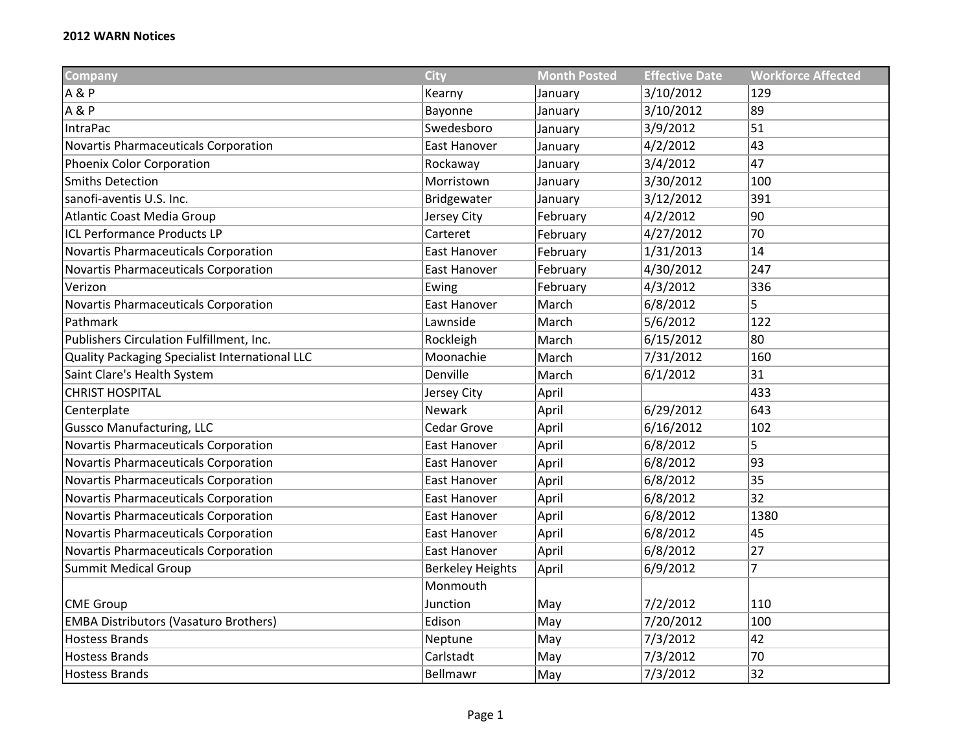| <b>Company</b>                                 | <b>City</b>             | <b>Month Posted</b> | <b>Effective Date</b> | <b>Workforce Affected</b> |
|------------------------------------------------|-------------------------|---------------------|-----------------------|---------------------------|
| <b>A&amp;P</b>                                 | Kearny                  | January             | 3/10/2012             | 129                       |
| <b>A&amp;P</b>                                 | Bayonne                 | January             | 3/10/2012             | 89                        |
| <b>IntraPac</b>                                | Swedesboro              | January             | 3/9/2012              | 51                        |
| Novartis Pharmaceuticals Corporation           | East Hanover            | January             | 4/2/2012              | 43                        |
| <b>Phoenix Color Corporation</b>               | Rockaway                | January             | 3/4/2012              | 47                        |
| <b>Smiths Detection</b>                        | Morristown              | January             | 3/30/2012             | 100                       |
| sanofi-aventis U.S. Inc.                       | Bridgewater             | January             | 3/12/2012             | 391                       |
| <b>Atlantic Coast Media Group</b>              | Jersey City             | February            | 4/2/2012              | 90                        |
| <b>ICL Performance Products LP</b>             | Carteret                | February            | 4/27/2012             | 70                        |
| Novartis Pharmaceuticals Corporation           | East Hanover            | February            | 1/31/2013             | 14                        |
| Novartis Pharmaceuticals Corporation           | East Hanover            | February            | 4/30/2012             | 247                       |
| Verizon                                        | Ewing                   | February            | 4/3/2012              | 336                       |
| Novartis Pharmaceuticals Corporation           | East Hanover            | March               | 6/8/2012              | 5                         |
| Pathmark                                       | Lawnside                | March               | 5/6/2012              | 122                       |
| Publishers Circulation Fulfillment, Inc.       | Rockleigh               | March               | 6/15/2012             | 80                        |
| Quality Packaging Specialist International LLC | Moonachie               | March               | 7/31/2012             | 160                       |
| Saint Clare's Health System                    | Denville                | March               | 6/1/2012              | 31                        |
| <b>CHRIST HOSPITAL</b>                         | Jersey City             | April               |                       | 433                       |
| Centerplate                                    | <b>Newark</b>           | April               | 6/29/2012             | 643                       |
| <b>Gussco Manufacturing, LLC</b>               | Cedar Grove             | April               | 6/16/2012             | 102                       |
| Novartis Pharmaceuticals Corporation           | East Hanover            | April               | 6/8/2012              | 5                         |
| Novartis Pharmaceuticals Corporation           | East Hanover            | April               | 6/8/2012              | 93                        |
| Novartis Pharmaceuticals Corporation           | East Hanover            | April               | 6/8/2012              | 35                        |
| Novartis Pharmaceuticals Corporation           | East Hanover            | April               | 6/8/2012              | 32                        |
| Novartis Pharmaceuticals Corporation           | East Hanover            | April               | 6/8/2012              | 1380                      |
| Novartis Pharmaceuticals Corporation           | East Hanover            | April               | 6/8/2012              | 45                        |
| Novartis Pharmaceuticals Corporation           | <b>East Hanover</b>     | April               | 6/8/2012              | 27                        |
| <b>Summit Medical Group</b>                    | <b>Berkeley Heights</b> | April               | 6/9/2012              | $\overline{7}$            |
|                                                | Monmouth                |                     |                       |                           |
| <b>CME Group</b>                               | Junction                | May                 | 7/2/2012              | 110                       |
| <b>EMBA Distributors (Vasaturo Brothers)</b>   | Edison                  | May                 | 7/20/2012             | 100                       |
| <b>Hostess Brands</b>                          | Neptune                 | May                 | 7/3/2012              | 42                        |
| <b>Hostess Brands</b>                          | Carlstadt               | May                 | 7/3/2012              | 70                        |
| <b>Hostess Brands</b>                          | Bellmawr                | May                 | 7/3/2012              | 32                        |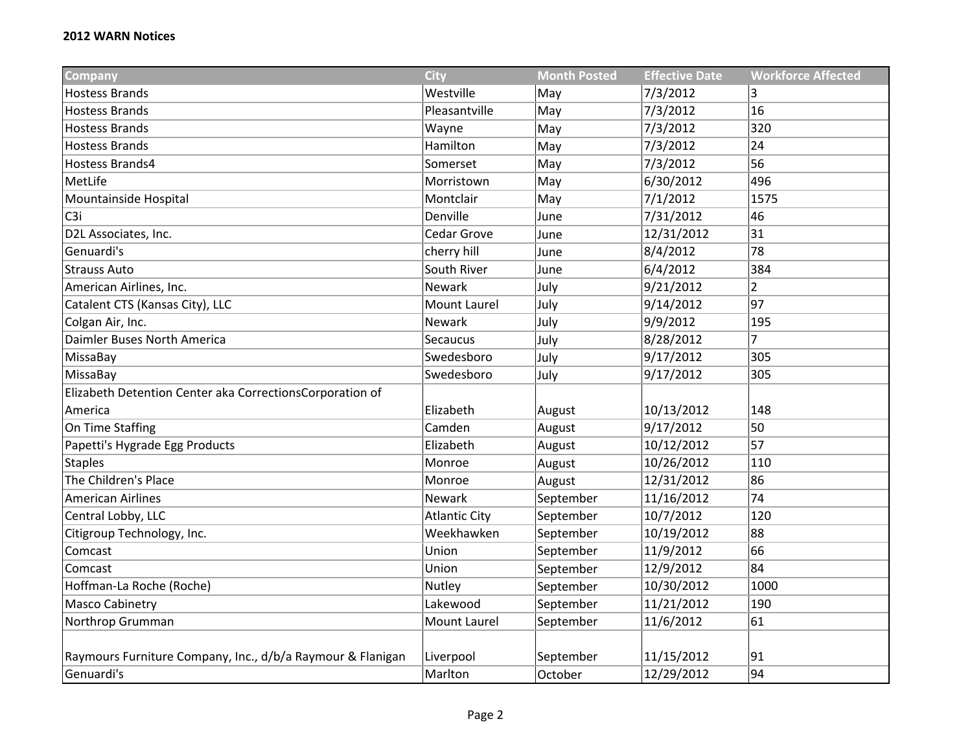| <b>Company</b>                                             | <b>City</b>          | <b>Month Posted</b> | <b>Effective Date</b> | <b>Workforce Affected</b> |
|------------------------------------------------------------|----------------------|---------------------|-----------------------|---------------------------|
| <b>Hostess Brands</b>                                      | Westville            | May                 | 7/3/2012              | 3                         |
| <b>Hostess Brands</b>                                      | Pleasantville        | May                 | 7/3/2012              | 16                        |
| <b>Hostess Brands</b>                                      | Wayne                | May                 | 7/3/2012              | 320                       |
| <b>Hostess Brands</b>                                      | Hamilton             | May                 | 7/3/2012              | 24                        |
| Hostess Brands4                                            | Somerset             | May                 | 7/3/2012              | 56                        |
| MetLife                                                    | Morristown           | May                 | 6/30/2012             | 496                       |
| Mountainside Hospital                                      | Montclair            | May                 | 7/1/2012              | 1575                      |
| C <sub>3</sub> i                                           | Denville             | June                | 7/31/2012             | 46                        |
| D2L Associates, Inc.                                       | Cedar Grove          | June                | 12/31/2012            | 31                        |
| Genuardi's                                                 | cherry hill          | June                | 8/4/2012              | 78                        |
| <b>Strauss Auto</b>                                        | South River          | June                | 6/4/2012              | 384                       |
| American Airlines, Inc.                                    | <b>Newark</b>        | July                | 9/21/2012             | $\overline{2}$            |
| Catalent CTS (Kansas City), LLC                            | <b>Mount Laurel</b>  | July                | 9/14/2012             | 97                        |
| Colgan Air, Inc.                                           | Newark               | July                | 9/9/2012              | 195                       |
| Daimler Buses North America                                | Secaucus             | July                | 8/28/2012             | 7                         |
| MissaBay                                                   | Swedesboro           | July                | 9/17/2012             | 305                       |
| MissaBay                                                   | Swedesboro           | July                | 9/17/2012             | 305                       |
| Elizabeth Detention Center aka CorrectionsCorporation of   |                      |                     |                       |                           |
| America                                                    | Elizabeth            | August              | 10/13/2012            | 148                       |
| On Time Staffing                                           | Camden               | August              | 9/17/2012             | $\overline{50}$           |
| Papetti's Hygrade Egg Products                             | Elizabeth            | August              | 10/12/2012            | 57                        |
| <b>Staples</b>                                             | Monroe               | August              | 10/26/2012            | 110                       |
| The Children's Place                                       | Monroe               | August              | 12/31/2012            | 86                        |
| <b>American Airlines</b>                                   | Newark               | September           | 11/16/2012            | 74                        |
| Central Lobby, LLC                                         | <b>Atlantic City</b> | September           | 10/7/2012             | 120                       |
| Citigroup Technology, Inc.                                 | Weekhawken           | September           | 10/19/2012            | 88                        |
| Comcast                                                    | Union                | September           | 11/9/2012             | 66                        |
| Comcast                                                    | Union                | September           | 12/9/2012             | 84                        |
| Hoffman-La Roche (Roche)                                   | Nutley               | September           | 10/30/2012            | 1000                      |
| <b>Masco Cabinetry</b>                                     | Lakewood             | September           | 11/21/2012            | 190                       |
| Northrop Grumman                                           | <b>Mount Laurel</b>  | September           | 11/6/2012             | 61                        |
|                                                            |                      |                     |                       |                           |
| Raymours Furniture Company, Inc., d/b/a Raymour & Flanigan | Liverpool            | September           | 11/15/2012            | 91                        |
| Genuardi's                                                 | Marlton              | October             | 12/29/2012            | 94                        |